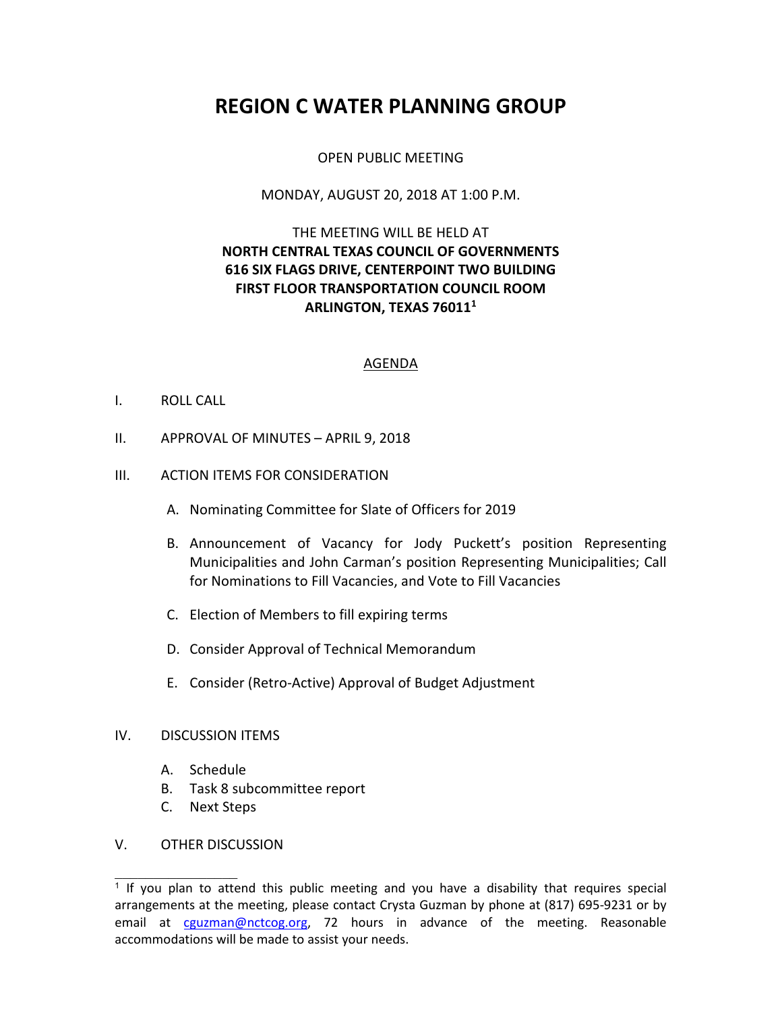# **REGION C WATER PLANNING GROUP**

# OPEN PUBLIC MEETING

## MONDAY, AUGUST 20, 2018 AT 1:00 P.M.

# THE MEETING WILL BE HELD AT **NORTH CENTRAL TEXAS COUNCIL OF GOVERNMENTS 616 SIX FLAGS DRIVE, CENTERPOINT TWO BUILDING FIRST FLOOR TRANSPORTATION COUNCIL ROOM ARLINGTON, TEXAS 76011<sup>1</sup>**

#### AGENDA

## I. ROLL CALL

II. APPROVAL OF MINUTES – APRIL 9, 2018

## III. ACTION ITEMS FOR CONSIDERATION

- A. Nominating Committee for Slate of Officers for 2019
- B. Announcement of Vacancy for Jody Puckett's position Representing Municipalities and John Carman's position Representing Municipalities; Call for Nominations to Fill Vacancies, and Vote to Fill Vacancies
- C. Election of Members to fill expiring terms
- D. Consider Approval of Technical Memorandum
- E. Consider (Retro-Active) Approval of Budget Adjustment

#### IV. DISCUSSION ITEMS

- A. Schedule
- B. Task 8 subcommittee report
- C. Next Steps

## V. OTHER DISCUSSION

 $\overline{\phantom{a}}$  , where  $\overline{\phantom{a}}$ 

<sup>&</sup>lt;sup>1</sup> If you plan to attend this public meeting and you have a disability that requires special arrangements at the meeting, please contact Crysta Guzman by phone at (817) 695-9231 or by email at cguzman@nctcog.org, 72 hours in advance of the meeting. Reasonable accommodations will be made to assist your needs.